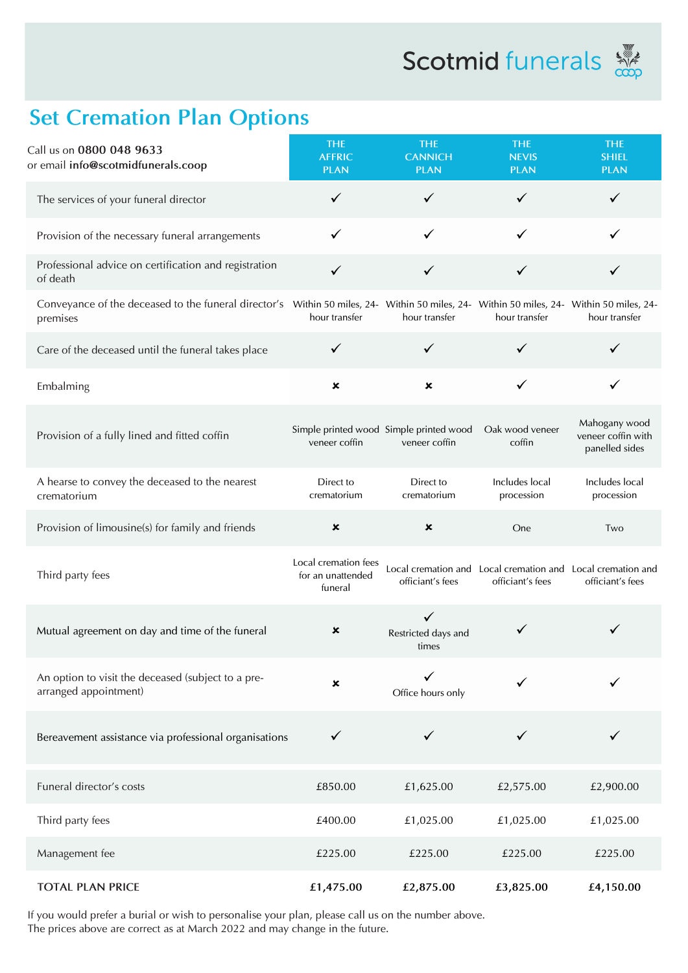**Scotmid** funerals



## **Set Cremation Plan Options**

| Call us on 0800 048 9633<br>or email info@scotmidfunerals.coop                                                                                       | <b>THE</b><br><b>AFFRIC</b><br><b>PLAN</b>           | <b>THE</b><br><b>CANNICH</b><br><b>PLAN</b>              | <b>THE</b><br><b>NEVIS</b><br><b>PLAN</b>                                       | <b>THE</b><br><b>SHIEL</b><br><b>PLAN</b>             |
|------------------------------------------------------------------------------------------------------------------------------------------------------|------------------------------------------------------|----------------------------------------------------------|---------------------------------------------------------------------------------|-------------------------------------------------------|
| The services of your funeral director                                                                                                                | $\checkmark$                                         | ✓                                                        | ✓                                                                               |                                                       |
| Provision of the necessary funeral arrangements                                                                                                      | ✓                                                    | ✓                                                        | ✓                                                                               | ✓                                                     |
| Professional advice on certification and registration<br>of death                                                                                    | ✓                                                    | ✓                                                        | ✓                                                                               | ✓                                                     |
| Conveyance of the deceased to the funeral director's Within 50 miles, 24- Within 50 miles, 24- Within 50 miles, 24- Within 50 miles, 24-<br>premises | hour transfer                                        | hour transfer                                            | hour transfer                                                                   | hour transfer                                         |
| Care of the deceased until the funeral takes place                                                                                                   | ✓                                                    |                                                          |                                                                                 |                                                       |
| Embalming                                                                                                                                            | $\pmb{\times}$                                       | ×                                                        | ✓                                                                               | ✓                                                     |
| Provision of a fully lined and fitted coffin                                                                                                         | veneer coffin                                        | Simple printed wood Simple printed wood<br>veneer coffin | Oak wood veneer<br>coffin                                                       | Mahogany wood<br>veneer coffin with<br>panelled sides |
| A hearse to convey the deceased to the nearest<br>crematorium                                                                                        | Direct to<br>crematorium                             | Direct to<br>crematorium                                 | Includes local<br>procession                                                    | Includes local<br>procession                          |
| Provision of limousine(s) for family and friends                                                                                                     | $\pmb{\times}$                                       | ×                                                        | One                                                                             | Two                                                   |
| Third party fees                                                                                                                                     | Local cremation fees<br>for an unattended<br>funeral | officiant's fees                                         | Local cremation and Local cremation and Local cremation and<br>officiant's fees | officiant's fees                                      |
| Mutual agreement on day and time of the funeral                                                                                                      | ×                                                    | $\checkmark$<br>Restricted days and<br>times             | ✓                                                                               |                                                       |
| An option to visit the deceased (subject to a pre-<br>arranged appointment)                                                                          | $\pmb{\times}$                                       | Office hours only                                        | ✓                                                                               |                                                       |
| Bereavement assistance via professional organisations                                                                                                | $\checkmark$                                         | ✓                                                        | ✓                                                                               |                                                       |
| Funeral director's costs                                                                                                                             | £850.00                                              | £1,625.00                                                | £2,575.00                                                                       | £2,900.00                                             |
| Third party fees                                                                                                                                     | £400.00                                              | £1,025.00                                                | £1,025.00                                                                       | £1,025.00                                             |
| Management fee                                                                                                                                       | £225.00                                              | £225.00                                                  | £225.00                                                                         | £225.00                                               |
| <b>TOTAL PLAN PRICE</b>                                                                                                                              | £1,475.00                                            | £2,875.00                                                | £3,825.00                                                                       | £4,150.00                                             |

If you would prefer a burial or wish to personalise your plan, please call us on the number above. The prices above are correct as at March 2022 and may change in the future.